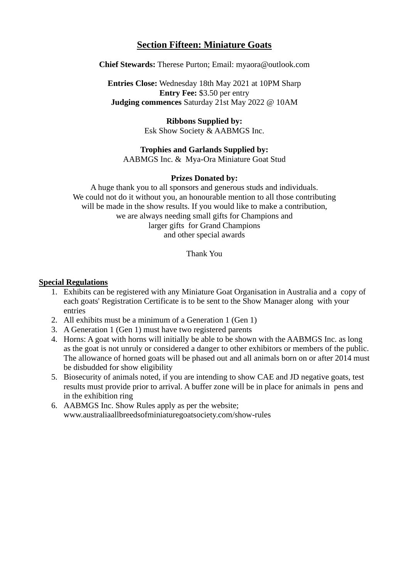# **Section Fifteen: Miniature Goats**

**Chief Stewards:** Therese Purton; Email: [myaora@outlook.com](mailto:myaora@outlook.com)

**Entries Close:** Wednesday 18th May 2021 at 10PM Sharp **Entry Fee:** \$3.50 per entry **Judging commences** Saturday 21st May 2022 @ 10AM

> **Ribbons Supplied by:** Esk Show Society & AABMGS Inc.

# **Trophies and Garlands Supplied by:**

AABMGS Inc. & Mya-Ora Miniature Goat Stud

#### **Prizes Donated by:**

A huge thank you to all sponsors and generous studs and individuals. We could not do it without you, an honourable mention to all those contributing will be made in the show results. If you would like to make a contribution, we are always needing small gifts for Champions and larger gifts for Grand Champions and other special awards

Thank You

#### **Special Regulations**

- 1. Exhibits can be registered with any Miniature Goat Organisation in Australia and a copy of each goats' Registration Certificate is to be sent to the Show Manager along with your entries
- 2. All exhibits must be a minimum of a Generation 1 (Gen 1)
- 3. A Generation 1 (Gen 1) must have two registered parents
- 4. Horns: A goat with horns will initially be able to be shown with the AABMGS Inc. as long as the goat is not unruly or considered a danger to other exhibitors or members of the public. The allowance of horned goats will be phased out and all animals born on or after 2014 must be disbudded for show eligibility
- 5. Biosecurity of animals noted, if you are intending to show CAE and JD negative goats, test results must provide prior to arrival. A buffer zone will be in place for animals in pens and in the exhibition ring
- 6. AABMGS Inc. Show Rules apply as per the website; www.australiaallbreedsofminiaturegoatsociety.com/show-rules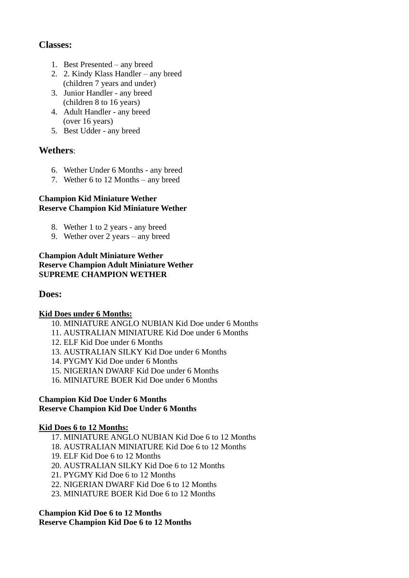# **Classes:**

- 1. Best Presented any breed
- 2. 2. Kindy Klass Handler any breed (children 7 years and under)
- 3. Junior Handler any breed (children 8 to 16 years)
- 4. Adult Handler any breed (over 16 years)
- 5. Best Udder any breed

# **Wethers**:

- 6. Wether Under 6 Months any breed
- 7. Wether 6 to 12 Months any breed

## **Champion Kid Miniature Wether Reserve Champion Kid Miniature Wether**

- 8. Wether 1 to 2 years any breed
- 9. Wether over 2 years any breed

#### **Champion Adult Miniature Wether Reserve Champion Adult Miniature Wether SUPREME CHAMPION WETHER**

## **Does:**

## **Kid Does under 6 Months:**

- 10. MINIATURE ANGLO NUBIAN Kid Doe under 6 Months
- 11. AUSTRALIAN MINIATURE Kid Doe under 6 Months
- 12. ELF Kid Doe under 6 Months
- 13. AUSTRALIAN SILKY Kid Doe under 6 Months
- 14. PYGMY Kid Doe under 6 Months
- 15. NIGERIAN DWARF Kid Doe under 6 Months
- 16. MINIATURE BOER Kid Doe under 6 Months

#### **Champion Kid Doe Under 6 Months Reserve Champion Kid Doe Under 6 Months**

#### **Kid Does 6 to 12 Months:**

- 17. MINIATURE ANGLO NUBIAN Kid Doe 6 to 12 Months
- 18. AUSTRALIAN MINIATURE Kid Doe 6 to 12 Months
- 19. ELF Kid Doe 6 to 12 Months
- 20. AUSTRALIAN SILKY Kid Doe 6 to 12 Months
- 21. PYGMY Kid Doe 6 to 12 Months
- 22. NIGERIAN DWARF Kid Doe 6 to 12 Months
- 23. MINIATURE BOER Kid Doe 6 to 12 Months

# **Champion Kid Doe 6 to 12 Months**

## **Reserve Champion Kid Doe 6 to 12 Months**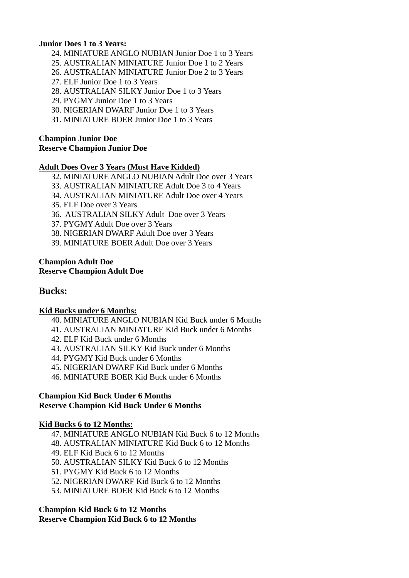#### **Junior Does 1 to 3 Years:**

- 24. MINIATURE ANGLO NUBIAN Junior Doe 1 to 3 Years
- 25. AUSTRALIAN MINIATURE Junior Doe 1 to 2 Years
- 26. AUSTRALIAN MINIATURE Junior Doe 2 to 3 Years
- 27. ELF Junior Doe 1 to 3 Years
- 28. AUSTRALIAN SILKY Junior Doe 1 to 3 Years
- 29. PYGMY Junior Doe 1 to 3 Years
- 30. NIGERIAN DWARF Junior Doe 1 to 3 Years
- 31. MINIATURE BOER Junior Doe 1 to 3 Years

# **Champion Junior Doe**

# **Reserve Champion Junior Doe**

#### **Adult Does Over 3 Years (Must Have Kidded)**

- 32. MINIATURE ANGLO NUBIAN Adult Doe over 3 Years
- 33. AUSTRALIAN MINIATURE Adult Doe 3 to 4 Years
- 34. AUSTRALIAN MINIATURE Adult Doe over 4 Years
- 35. ELF Doe over 3 Years
- 36. AUSTRALIAN SILKY Adult Doe over 3 Years
- 37. PYGMY Adult Doe over 3 Years
- 38. NIGERIAN DWARF Adult Doe over 3 Years
- 39. MINIATURE BOER Adult Doe over 3 Years

#### **Champion Adult Doe Reserve Champion Adult Doe**

## **Bucks:**

#### **Kid Bucks under 6 Months:**

- 40. MINIATURE ANGLO NUBIAN Kid Buck under 6 Months
- 41. AUSTRALIAN MINIATURE Kid Buck under 6 Months
- 42. ELF Kid Buck under 6 Months
- 43. AUSTRALIAN SILKY Kid Buck under 6 Months
- 44. PYGMY Kid Buck under 6 Months
- 45. NIGERIAN DWARF Kid Buck under 6 Months
- 46. MINIATURE BOER Kid Buck under 6 Months

#### **Champion Kid Buck Under 6 Months Reserve Champion Kid Buck Under 6 Months**

#### **Kid Bucks 6 to 12 Months:**

- 47. MINIATURE ANGLO NUBIAN Kid Buck 6 to 12 Months
- 48. AUSTRALIAN MINIATURE Kid Buck 6 to 12 Months
- 49. ELF Kid Buck 6 to 12 Months
- 50. AUSTRALIAN SILKY Kid Buck 6 to 12 Months
- 51. PYGMY Kid Buck 6 to 12 Months
- 52. NIGERIAN DWARF Kid Buck 6 to 12 Months
- 53. MINIATURE BOER Kid Buck 6 to 12 Months

#### **Champion Kid Buck 6 to 12 Months**

#### **Reserve Champion Kid Buck 6 to 12 Months**